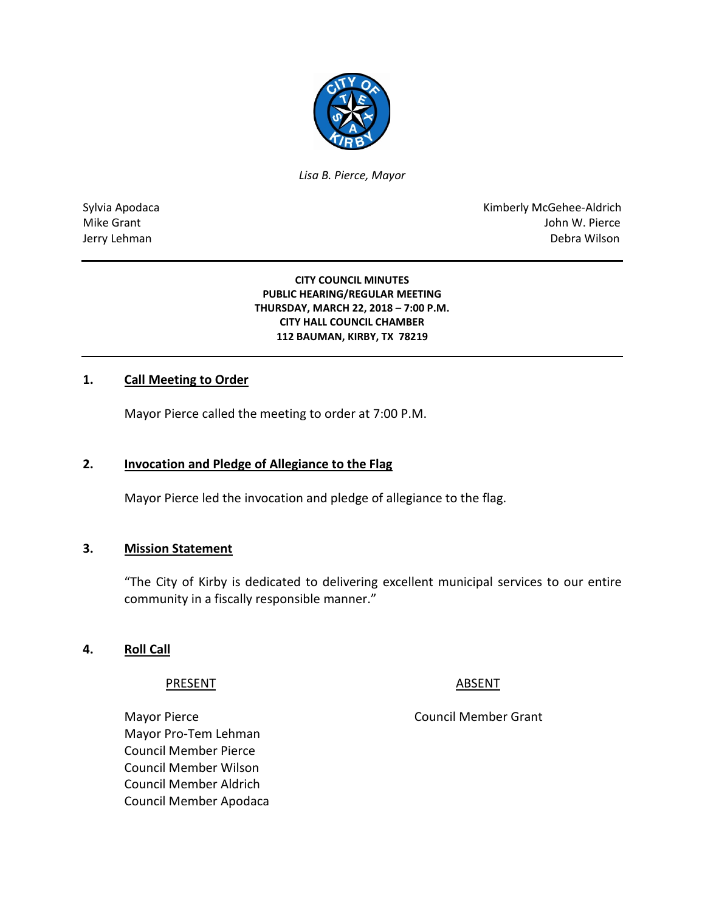

*Lisa B. Pierce, Mayor* 

Sylvia Apodaca National Apodaca Kimberly McGehee-Aldrich Mike Grant John W. Pierce Jerry Lehman Debra Wilson

#### **CITY COUNCIL MINUTES PUBLIC HEARING/REGULAR MEETING THURSDAY, MARCH 22, 2018 – 7:00 P.M. CITY HALL COUNCIL CHAMBER 112 BAUMAN, KIRBY, TX 78219**

### **1. Call Meeting to Order**

Mayor Pierce called the meeting to order at 7:00 P.M.

## **2. Invocation and Pledge of Allegiance to the Flag**

Mayor Pierce led the invocation and pledge of allegiance to the flag.

#### **3. Mission Statement**

"The City of Kirby is dedicated to delivering excellent municipal services to our entire community in a fiscally responsible manner."

#### **4. Roll Call**

PRESENT ABSENT

Mayor Pro-Tem Lehman Council Member Pierce Council Member Wilson Council Member Aldrich Council Member Apodaca

Mayor Pierce **Council Member Grant**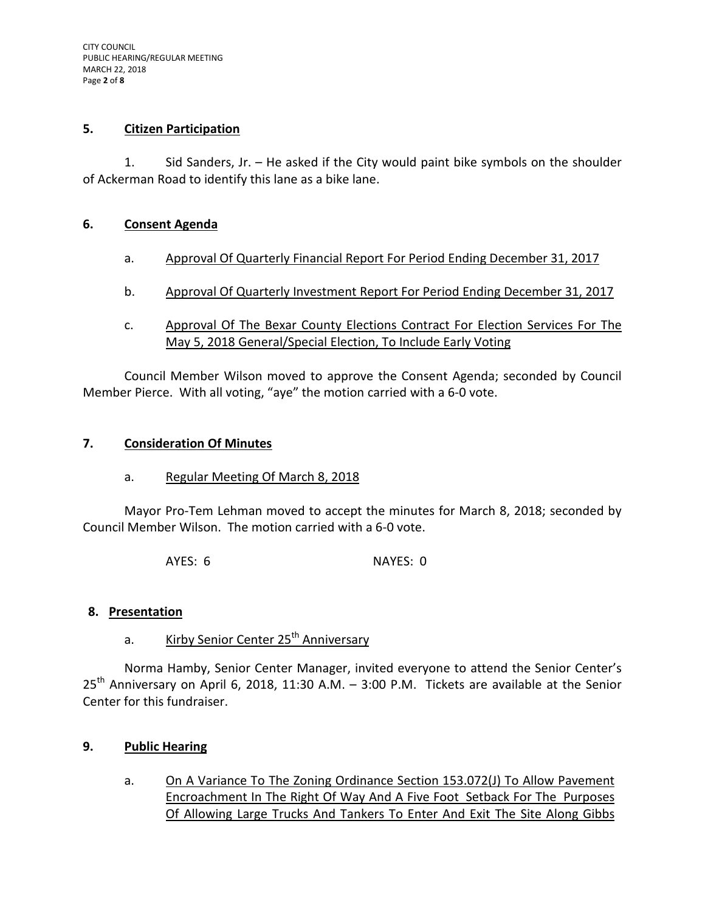#### **5. Citizen Participation**

1. Sid Sanders, Jr. – He asked if the City would paint bike symbols on the shoulder of Ackerman Road to identify this lane as a bike lane.

## **6. Consent Agenda**

- a. Approval Of Quarterly Financial Report For Period Ending December 31, 2017
- b. Approval Of Quarterly Investment Report For Period Ending December 31, 2017
- c. Approval Of The Bexar County Elections Contract For Election Services For The May 5, 2018 General/Special Election, To Include Early Voting

Council Member Wilson moved to approve the Consent Agenda; seconded by Council Member Pierce. With all voting, "aye" the motion carried with a 6-0 vote.

## **7. Consideration Of Minutes**

a. Regular Meeting Of March 8, 2018

Mayor Pro-Tem Lehman moved to accept the minutes for March 8, 2018; seconded by Council Member Wilson. The motion carried with a 6-0 vote.

AYES: 6 NAYES: 0

## **8. Presentation**

a. Kirby Senior Center 25<sup>th</sup> Anniversary

Norma Hamby, Senior Center Manager, invited everyone to attend the Senior Center's  $25<sup>th</sup>$  Anniversary on April 6, 2018, 11:30 A.M. – 3:00 P.M. Tickets are available at the Senior Center for this fundraiser.

## **9. Public Hearing**

a. On A Variance To The Zoning Ordinance Section 153.072(J) To Allow Pavement Encroachment In The Right Of Way And A Five Foot Setback For The Purposes Of Allowing Large Trucks And Tankers To Enter And Exit The Site Along Gibbs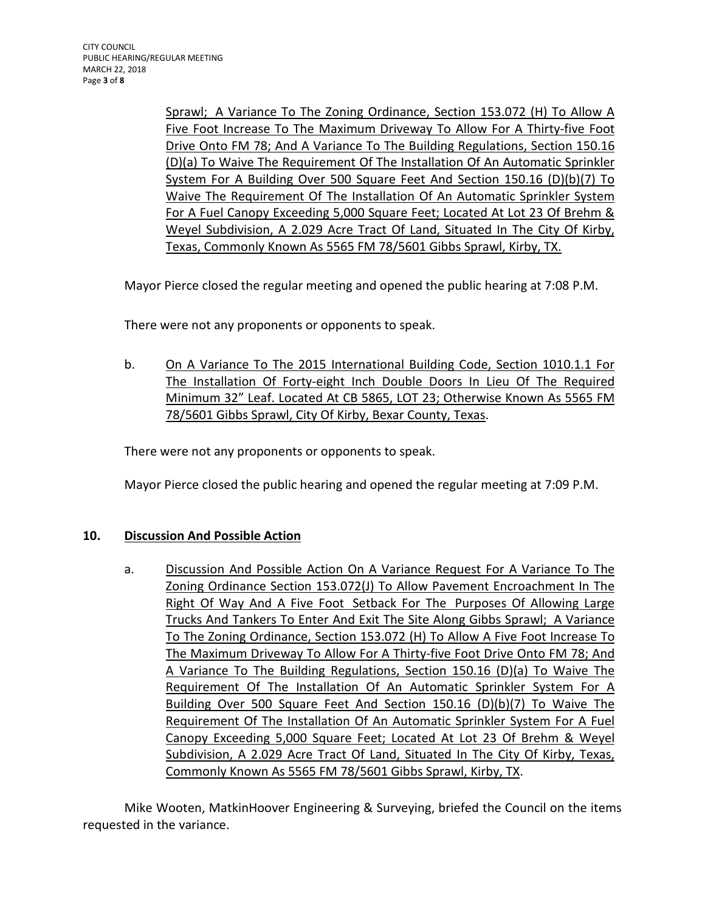Sprawl; A Variance To The Zoning Ordinance, Section 153.072 (H) To Allow A Five Foot Increase To The Maximum Driveway To Allow For A Thirty-five Foot Drive Onto FM 78; And A Variance To The Building Regulations, Section 150.16 (D)(a) To Waive The Requirement Of The Installation Of An Automatic Sprinkler System For A Building Over 500 Square Feet And Section 150.16 (D)(b)(7) To Waive The Requirement Of The Installation Of An Automatic Sprinkler System For A Fuel Canopy Exceeding 5,000 Square Feet; Located At Lot 23 Of Brehm & Weyel Subdivision, A 2.029 Acre Tract Of Land, Situated In The City Of Kirby, Texas, Commonly Known As 5565 FM 78/5601 Gibbs Sprawl, Kirby, TX.

Mayor Pierce closed the regular meeting and opened the public hearing at 7:08 P.M.

There were not any proponents or opponents to speak.

b. On A Variance To The 2015 International Building Code, Section 1010.1.1 For The Installation Of Forty-eight Inch Double Doors In Lieu Of The Required Minimum 32" Leaf. Located At CB 5865, LOT 23; Otherwise Known As 5565 FM 78/5601 Gibbs Sprawl, City Of Kirby, Bexar County, Texas.

There were not any proponents or opponents to speak.

Mayor Pierce closed the public hearing and opened the regular meeting at 7:09 P.M.

## **10. Discussion And Possible Action**

a. Discussion And Possible Action On A Variance Request For A Variance To The Zoning Ordinance Section 153.072(J) To Allow Pavement Encroachment In The Right Of Way And A Five Foot Setback For The Purposes Of Allowing Large Trucks And Tankers To Enter And Exit The Site Along Gibbs Sprawl; A Variance To The Zoning Ordinance, Section 153.072 (H) To Allow A Five Foot Increase To The Maximum Driveway To Allow For A Thirty-five Foot Drive Onto FM 78; And A Variance To The Building Regulations, Section 150.16 (D)(a) To Waive The Requirement Of The Installation Of An Automatic Sprinkler System For A Building Over 500 Square Feet And Section 150.16 (D)(b)(7) To Waive The Requirement Of The Installation Of An Automatic Sprinkler System For A Fuel Canopy Exceeding 5,000 Square Feet; Located At Lot 23 Of Brehm & Weyel Subdivision, A 2.029 Acre Tract Of Land, Situated In The City Of Kirby, Texas, Commonly Known As 5565 FM 78/5601 Gibbs Sprawl, Kirby, TX.

Mike Wooten, MatkinHoover Engineering & Surveying, briefed the Council on the items requested in the variance.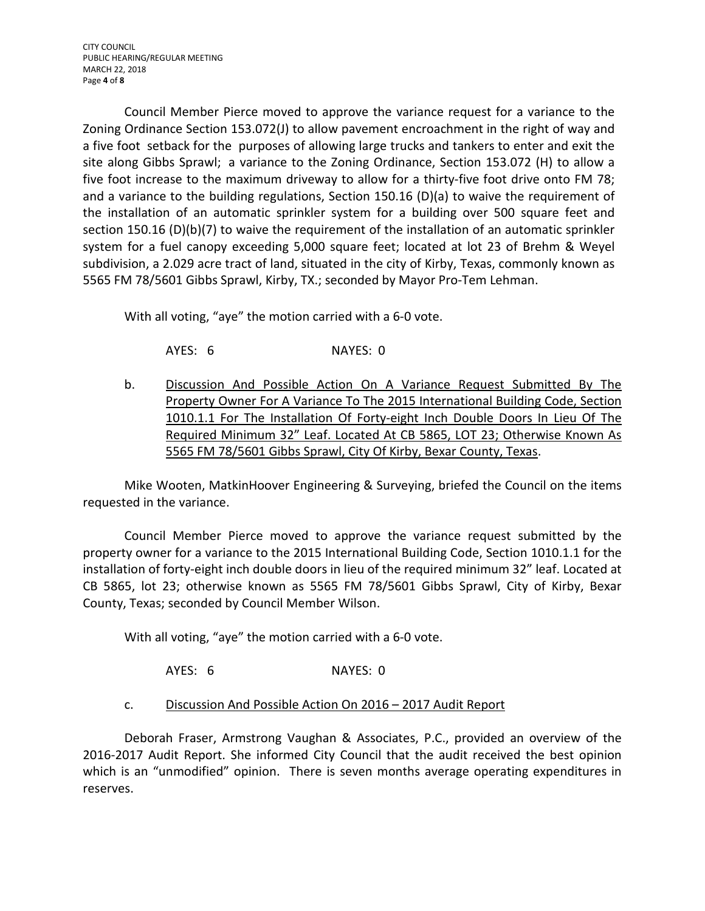CITY COUNCIL PUBLIC HEARING/REGULAR MEETING MARCH 22, 2018 Page **4** of **8**

Council Member Pierce moved to approve the variance request for a variance to the Zoning Ordinance Section 153.072(J) to allow pavement encroachment in the right of way and a five foot setback for the purposes of allowing large trucks and tankers to enter and exit the site along Gibbs Sprawl; a variance to the Zoning Ordinance, Section 153.072 (H) to allow a five foot increase to the maximum driveway to allow for a thirty-five foot drive onto FM 78; and a variance to the building regulations, Section 150.16 (D)(a) to waive the requirement of the installation of an automatic sprinkler system for a building over 500 square feet and section 150.16 (D)(b)(7) to waive the requirement of the installation of an automatic sprinkler system for a fuel canopy exceeding 5,000 square feet; located at lot 23 of Brehm & Weyel subdivision, a 2.029 acre tract of land, situated in the city of Kirby, Texas, commonly known as 5565 FM 78/5601 Gibbs Sprawl, Kirby, TX.; seconded by Mayor Pro-Tem Lehman.

With all voting, "aye" the motion carried with a 6-0 vote.

AYES: 6 NAYES: 0

b. Discussion And Possible Action On A Variance Request Submitted By The Property Owner For A Variance To The 2015 International Building Code, Section 1010.1.1 For The Installation Of Forty-eight Inch Double Doors In Lieu Of The Required Minimum 32" Leaf. Located At CB 5865, LOT 23; Otherwise Known As 5565 FM 78/5601 Gibbs Sprawl, City Of Kirby, Bexar County, Texas.

Mike Wooten, MatkinHoover Engineering & Surveying, briefed the Council on the items requested in the variance.

Council Member Pierce moved to approve the variance request submitted by the property owner for a variance to the 2015 International Building Code, Section 1010.1.1 for the installation of forty-eight inch double doors in lieu of the required minimum 32" leaf. Located at CB 5865, lot 23; otherwise known as 5565 FM 78/5601 Gibbs Sprawl, City of Kirby, Bexar County, Texas; seconded by Council Member Wilson.

With all voting, "aye" the motion carried with a 6-0 vote.

AYES: 6 NAYES: 0

c. Discussion And Possible Action On 2016 – 2017 Audit Report

Deborah Fraser, Armstrong Vaughan & Associates, P.C., provided an overview of the 2016-2017 Audit Report. She informed City Council that the audit received the best opinion which is an "unmodified" opinion. There is seven months average operating expenditures in reserves.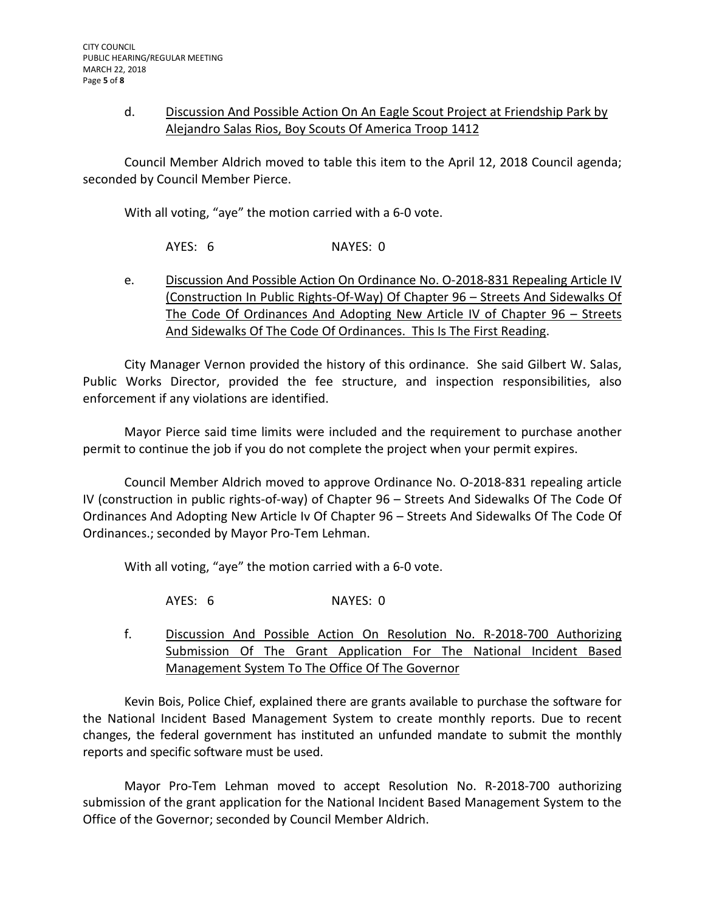## d. Discussion And Possible Action On An Eagle Scout Project at Friendship Park by Alejandro Salas Rios, Boy Scouts Of America Troop 1412

Council Member Aldrich moved to table this item to the April 12, 2018 Council agenda; seconded by Council Member Pierce.

With all voting, "aye" the motion carried with a 6-0 vote.

AYES: 6 NAYES: 0

e. Discussion And Possible Action On Ordinance No. O-2018-831 Repealing Article IV (Construction In Public Rights-Of-Way) Of Chapter 96 – Streets And Sidewalks Of The Code Of Ordinances And Adopting New Article IV of Chapter 96 – Streets And Sidewalks Of The Code Of Ordinances. This Is The First Reading.

City Manager Vernon provided the history of this ordinance. She said Gilbert W. Salas, Public Works Director, provided the fee structure, and inspection responsibilities, also enforcement if any violations are identified.

Mayor Pierce said time limits were included and the requirement to purchase another permit to continue the job if you do not complete the project when your permit expires.

Council Member Aldrich moved to approve Ordinance No. O-2018-831 repealing article IV (construction in public rights-of-way) of Chapter 96 – Streets And Sidewalks Of The Code Of Ordinances And Adopting New Article Iv Of Chapter 96 – Streets And Sidewalks Of The Code Of Ordinances.; seconded by Mayor Pro-Tem Lehman.

With all voting, "aye" the motion carried with a 6-0 vote.

AYES: 6 NAYES: 0

f. Discussion And Possible Action On Resolution No. R-2018-700 Authorizing Submission Of The Grant Application For The National Incident Based Management System To The Office Of The Governor

Kevin Bois, Police Chief, explained there are grants available to purchase the software for the National Incident Based Management System to create monthly reports. Due to recent changes, the federal government has instituted an unfunded mandate to submit the monthly reports and specific software must be used.

Mayor Pro-Tem Lehman moved to accept Resolution No. R-2018-700 authorizing submission of the grant application for the National Incident Based Management System to the Office of the Governor; seconded by Council Member Aldrich.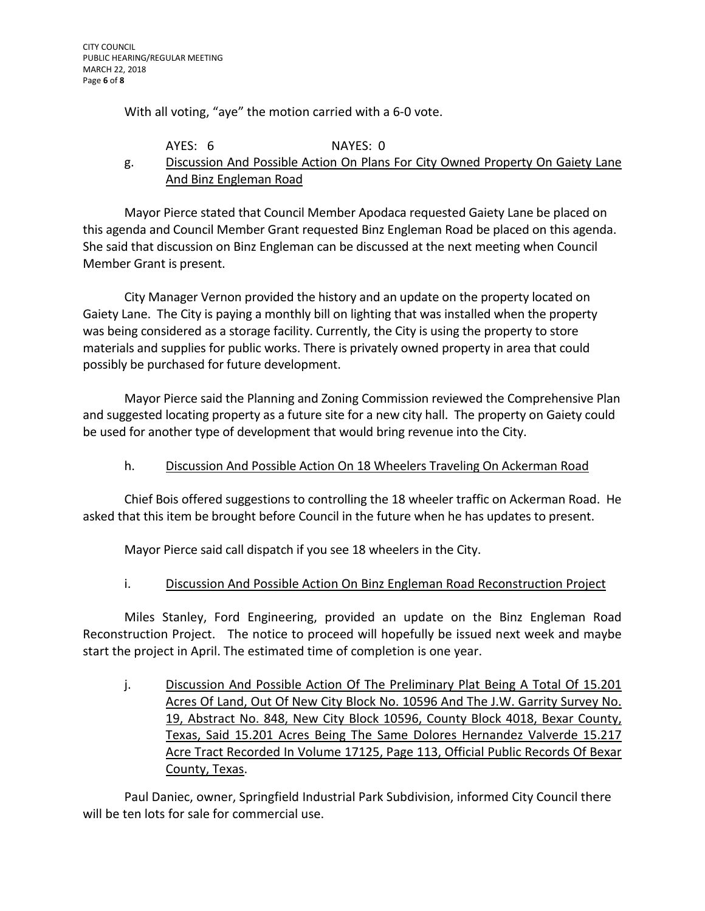With all voting, "aye" the motion carried with a 6-0 vote.

#### AYES: 6 NAYES: 0

# g. Discussion And Possible Action On Plans For City Owned Property On Gaiety Lane And Binz Engleman Road

Mayor Pierce stated that Council Member Apodaca requested Gaiety Lane be placed on this agenda and Council Member Grant requested Binz Engleman Road be placed on this agenda. She said that discussion on Binz Engleman can be discussed at the next meeting when Council Member Grant is present.

City Manager Vernon provided the history and an update on the property located on Gaiety Lane. The City is paying a monthly bill on lighting that was installed when the property was being considered as a storage facility. Currently, the City is using the property to store materials and supplies for public works. There is privately owned property in area that could possibly be purchased for future development.

Mayor Pierce said the Planning and Zoning Commission reviewed the Comprehensive Plan and suggested locating property as a future site for a new city hall. The property on Gaiety could be used for another type of development that would bring revenue into the City.

## h. Discussion And Possible Action On 18 Wheelers Traveling On Ackerman Road

Chief Bois offered suggestions to controlling the 18 wheeler traffic on Ackerman Road. He asked that this item be brought before Council in the future when he has updates to present.

Mayor Pierce said call dispatch if you see 18 wheelers in the City.

## i. Discussion And Possible Action On Binz Engleman Road Reconstruction Project

Miles Stanley, Ford Engineering, provided an update on the Binz Engleman Road Reconstruction Project. The notice to proceed will hopefully be issued next week and maybe start the project in April. The estimated time of completion is one year.

j. Discussion And Possible Action Of The Preliminary Plat Being A Total Of 15.201 Acres Of Land, Out Of New City Block No. 10596 And The J.W. Garrity Survey No. 19, Abstract No. 848, New City Block 10596, County Block 4018, Bexar County, Texas, Said 15.201 Acres Being The Same Dolores Hernandez Valverde 15.217 Acre Tract Recorded In Volume 17125, Page 113, Official Public Records Of Bexar County, Texas.

Paul Daniec, owner, Springfield Industrial Park Subdivision, informed City Council there will be ten lots for sale for commercial use.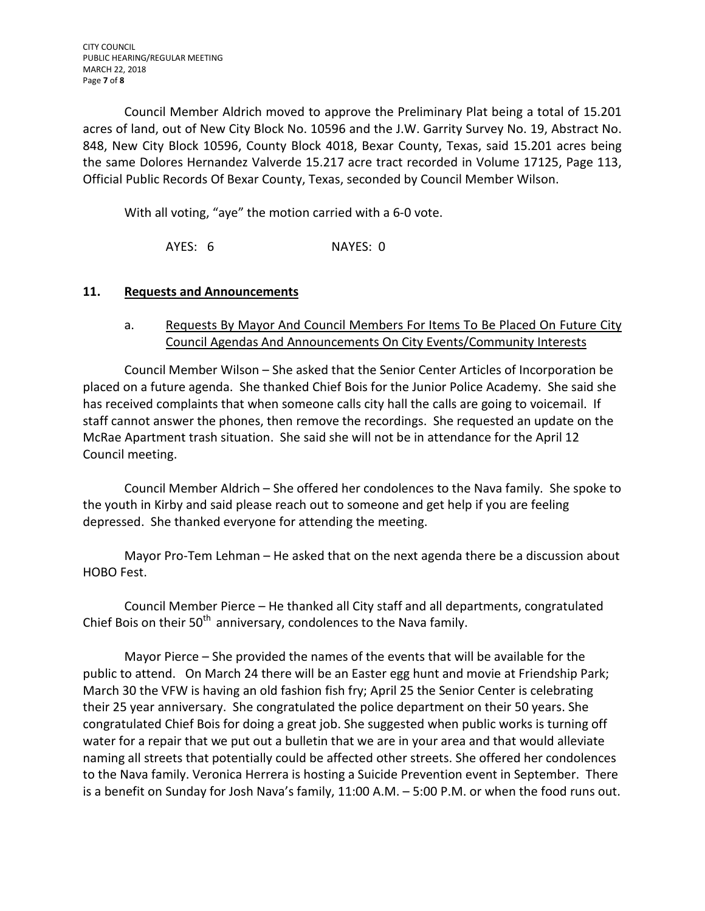Council Member Aldrich moved to approve the Preliminary Plat being a total of 15.201 acres of land, out of New City Block No. 10596 and the J.W. Garrity Survey No. 19, Abstract No. 848, New City Block 10596, County Block 4018, Bexar County, Texas, said 15.201 acres being the same Dolores Hernandez Valverde 15.217 acre tract recorded in Volume 17125, Page 113, Official Public Records Of Bexar County, Texas, seconded by Council Member Wilson.

With all voting, "aye" the motion carried with a 6-0 vote.

AYES: 6 NAYES: 0

# **11. Requests and Announcements**

## a. Requests By Mayor And Council Members For Items To Be Placed On Future City Council Agendas And Announcements On City Events/Community Interests

Council Member Wilson – She asked that the Senior Center Articles of Incorporation be placed on a future agenda. She thanked Chief Bois for the Junior Police Academy. She said she has received complaints that when someone calls city hall the calls are going to voicemail. If staff cannot answer the phones, then remove the recordings. She requested an update on the McRae Apartment trash situation. She said she will not be in attendance for the April 12 Council meeting.

Council Member Aldrich – She offered her condolences to the Nava family. She spoke to the youth in Kirby and said please reach out to someone and get help if you are feeling depressed. She thanked everyone for attending the meeting.

Mayor Pro-Tem Lehman – He asked that on the next agenda there be a discussion about HOBO Fest.

Council Member Pierce – He thanked all City staff and all departments, congratulated Chief Bois on their  $50<sup>th</sup>$  anniversary, condolences to the Nava family.

Mayor Pierce – She provided the names of the events that will be available for the public to attend. On March 24 there will be an Easter egg hunt and movie at Friendship Park; March 30 the VFW is having an old fashion fish fry; April 25 the Senior Center is celebrating their 25 year anniversary. She congratulated the police department on their 50 years. She congratulated Chief Bois for doing a great job. She suggested when public works is turning off water for a repair that we put out a bulletin that we are in your area and that would alleviate naming all streets that potentially could be affected other streets. She offered her condolences to the Nava family. Veronica Herrera is hosting a Suicide Prevention event in September. There is a benefit on Sunday for Josh Nava's family, 11:00 A.M. – 5:00 P.M. or when the food runs out.